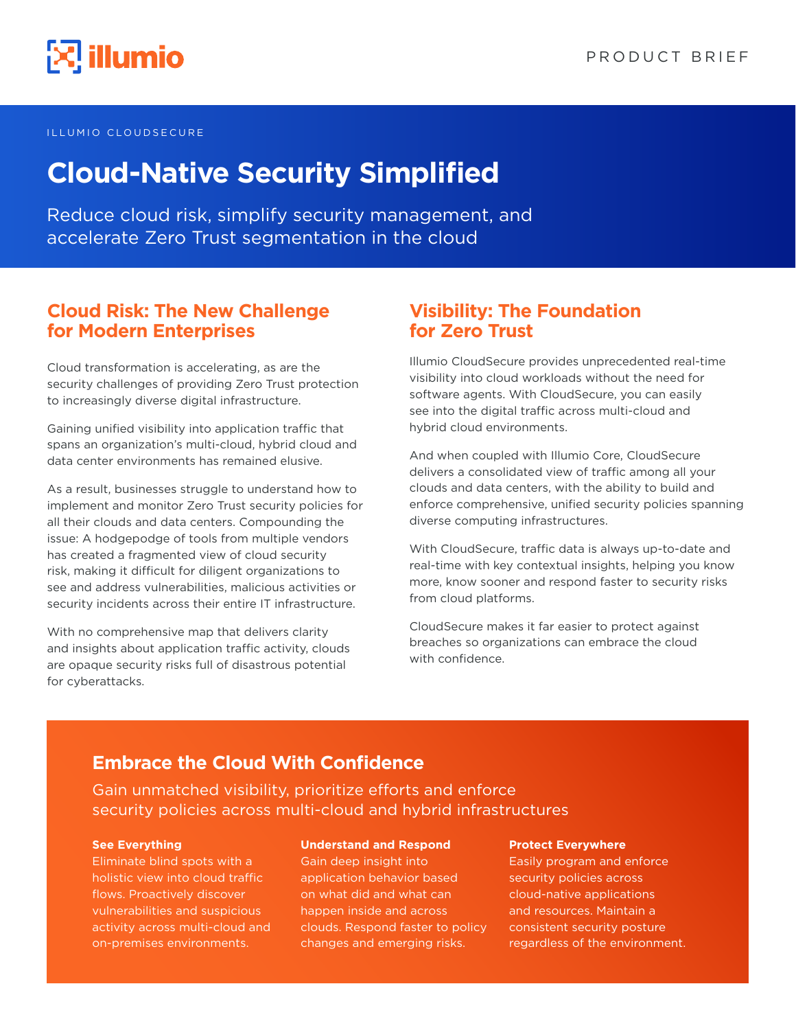

#### ILLUMIO CLOUDSECURE

# **Cloud-Native Security Simplified**

Reduce cloud risk, simplify security management, and accelerate Zero Trust segmentation in the cloud

### **Cloud Risk: The New Challenge for Modern Enterprises**

Cloud transformation is accelerating, as are the security challenges of providing Zero Trust protection to increasingly diverse digital infrastructure.

Gaining unified visibility into application traffic that spans an organization's multi-cloud, hybrid cloud and data center environments has remained elusive.

As a result, businesses struggle to understand how to implement and monitor Zero Trust security policies for all their clouds and data centers. Compounding the issue: A hodgepodge of tools from multiple vendors has created a fragmented view of cloud security risk, making it difficult for diligent organizations to see and address vulnerabilities, malicious activities or security incidents across their entire IT infrastructure.

With no comprehensive map that delivers clarity and insights about application traffic activity, clouds are opaque security risks full of disastrous potential for cyberattacks.

### **Visibility: The Foundation for Zero Trust**

Illumio CloudSecure provides unprecedented real-time visibility into cloud workloads without the need for software agents. With CloudSecure, you can easily see into the digital traffic across multi-cloud and hybrid cloud environments.

And when coupled with Illumio Core, CloudSecure delivers a consolidated view of traffic among all your clouds and data centers, with the ability to build and enforce comprehensive, unified security policies spanning diverse computing infrastructures.

With CloudSecure, traffic data is always up-to-date and real-time with key contextual insights, helping you know more, know sooner and respond faster to security risks from cloud platforms.

CloudSecure makes it far easier to protect against breaches so organizations can embrace the cloud with confidence.

### **Embrace the Cloud With Confidence**

Gain unmatched visibility, prioritize efforts and enforce security policies across multi-cloud and hybrid infrastructures

#### **See Everything**

Eliminate blind spots with a holistic view into cloud traffic flows. Proactively discover vulnerabilities and suspicious activity across multi-cloud and on-premises environments.

#### **Understand and Respond**

Gain deep insight into application behavior based on what did and what can happen inside and across clouds. Respond faster to policy changes and emerging risks.

#### **Protect Everywhere**

Easily program and enforce security policies across cloud-native applications and resources. Maintain a consistent security posture regardless of the environment.